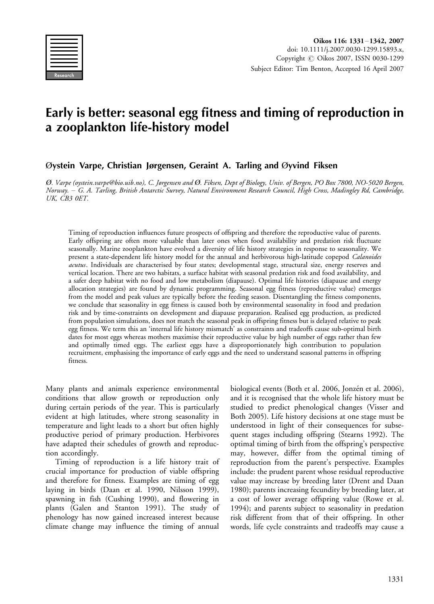# Early is better: seasonal egg fitness and timing of reproduction in a zooplankton life-history model

Øystein Varpe, Christian Jørgensen, Geraint A. Tarling and Øyvind Fiksen

Ø. Varpe (oystein.varpe@bio.uib.no), C. Jørgensen and Ø. Fiksen, Dept of Biology, Univ. of Bergen, PO Box 7800, NO-5020 Bergen, Norway. G. A. Tarling, British Antarctic Survey, Natural Environment Research Council, High Cross, Madingley Rd, Cambridge, UK, CB3 0ET.

Timing of reproduction influences future prospects of offspring and therefore the reproductive value of parents. Early offspring are often more valuable than later ones when food availability and predation risk fluctuate seasonally. Marine zooplankton have evolved a diversity of life history strategies in response to seasonality. We present a state-dependent life history model for the annual and herbivorous high-latitude copepod Calanoides acutus. Individuals are characterised by four states; developmental stage, structural size, energy reserves and vertical location. There are two habitats, a surface habitat with seasonal predation risk and food availability, and a safer deep habitat with no food and low metabolism (diapause). Optimal life histories (diapause and energy allocation strategies) are found by dynamic programming. Seasonal egg fitness (reproductive value) emerges from the model and peak values are typically before the feeding season. Disentangling the fitness components, we conclude that seasonality in egg fitness is caused both by environmental seasonality in food and predation risk and by time-constraints on development and diapause preparation. Realised egg production, as predicted from population simulations, does not match the seasonal peak in offspring fitness but is delayed relative to peak egg fitness. We term this an 'internal life history mismatch' as constraints and tradeoffs cause sub-optimal birth dates for most eggs whereas mothers maximise their reproductive value by high number of eggs rather than few and optimally timed eggs. The earliest eggs have a disproportionately high contribution to population recruitment, emphasising the importance of early eggs and the need to understand seasonal patterns in offspring fitness.

Many plants and animals experience environmental conditions that allow growth or reproduction only during certain periods of the year. This is particularly evident at high latitudes, where strong seasonality in temperature and light leads to a short but often highly productive period of primary production. Herbivores have adapted their schedules of growth and reproduction accordingly.

Timing of reproduction is a life history trait of crucial importance for production of viable offspring and therefore for fitness. Examples are timing of egg laying in birds (Daan et al. 1990, Nilsson 1999), spawning in fish (Cushing 1990), and flowering in plants (Galen and Stanton 1991). The study of phenology has now gained increased interest because climate change may influence the timing of annual

biological events (Both et al. 2006, Jonzén et al. 2006), and it is recognised that the whole life history must be studied to predict phenological changes (Visser and Both 2005). Life history decisions at one stage must be understood in light of their consequences for subsequent stages including offspring (Stearns 1992). The optimal timing of birth from the offspring's perspective may, however, differ from the optimal timing of reproduction from the parent's perspective. Examples include: the prudent parent whose residual reproductive value may increase by breeding later (Drent and Daan 1980); parents increasing fecundity by breeding later, at a cost of lower average offspring value (Rowe et al. 1994); and parents subject to seasonality in predation risk different from that of their offspring. In other words, life cycle constraints and tradeoffs may cause a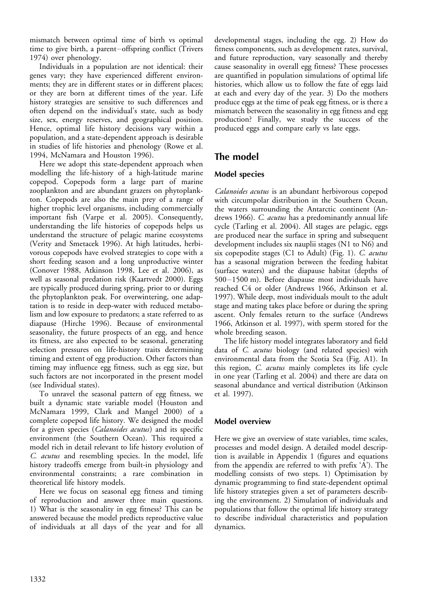mismatch between optimal time of birth vs optimal time to give birth, a parent-offspring conflict (Trivers 1974) over phenology.

Individuals in a population are not identical: their genes vary; they have experienced different environments; they are in different states or in different places; or they are born at different times of the year. Life history strategies are sensitive to such differences and often depend on the individual's state, such as body size, sex, energy reserves, and geographical position. Hence, optimal life history decisions vary within a population, and a state-dependent approach is desirable in studies of life histories and phenology (Rowe et al. 1994, McNamara and Houston 1996).

Here we adopt this state-dependent approach when modelling the life-history of a high-latitude marine copepod. Copepods form a large part of marine zooplankton and are abundant grazers on phytoplankton. Copepods are also the main prey of a range of higher trophic level organisms, including commercially important fish (Varpe et al. 2005). Consequently, understanding the life histories of copepods helps us understand the structure of pelagic marine ecosystems (Verity and Smetacek 1996). At high latitudes, herbivorous copepods have evolved strategies to cope with a short feeding season and a long unproductive winter (Conover 1988, Atkinson 1998, Lee et al. 2006), as well as seasonal predation risk (Kaartvedt 2000). Eggs are typically produced during spring, prior to or during the phytoplankton peak. For overwintering, one adaptation is to reside in deep-water with reduced metabolism and low exposure to predators; a state referred to as diapause (Hirche 1996). Because of environmental seasonality, the future prospects of an egg, and hence its fitness, are also expected to be seasonal, generating selection pressures on life-history traits determining timing and extent of egg production. Other factors than timing may influence egg fitness, such as egg size, but such factors are not incorporated in the present model (see Individual states).

To unravel the seasonal pattern of egg fitness, we built a dynamic state variable model (Houston and McNamara 1999, Clark and Mangel 2000) of a complete copepod life history. We designed the model for a given species (*Calanoides acutus*) and its specific environment (the Southern Ocean). This required a model rich in detail relevant to life history evolution of C. acutus and resembling species. In the model, life history tradeoffs emerge from built-in physiology and environmental constraints; a rare combination in theoretical life history models.

Here we focus on seasonal egg fitness and timing of reproduction and answer three main questions. 1) What is the seasonality in egg fitness? This can be answered because the model predicts reproductive value of individuals at all days of the year and for all

developmental stages, including the egg. 2) How do fitness components, such as development rates, survival, and future reproduction, vary seasonally and thereby cause seasonality in overall egg fitness? These processes are quantified in population simulations of optimal life histories, which allow us to follow the fate of eggs laid at each and every day of the year. 3) Do the mothers produce eggs at the time of peak egg fitness, or is there a mismatch between the seasonality in egg fitness and egg production? Finally, we study the success of the produced eggs and compare early vs late eggs.

# The model

### Model species

Calanoides acutus is an abundant herbivorous copepod with circumpolar distribution in the Southern Ocean, the waters surrounding the Antarctic continent (Andrews 1966). C. acutus has a predominantly annual life cycle (Tarling et al. 2004). All stages are pelagic, eggs are produced near the surface in spring and subsequent development includes six nauplii stages (N1 to N6) and six copepodite stages  $(Cl$  to Adult) (Fig. 1). C. acutus has a seasonal migration between the feeding habitat (surface waters) and the diapause habitat (depths of  $500-1500$  m). Before diapause most individuals have reached C4 or older (Andrews 1966, Atkinson et al. 1997). While deep, most individuals moult to the adult stage and mating takes place before or during the spring ascent. Only females return to the surface (Andrews 1966, Atkinson et al. 1997), with sperm stored for the whole breeding season.

The life history model integrates laboratory and field data of C. acutus biology (and related species) with environmental data from the Scotia Sea (Fig. A1). In this region, C. acutus mainly completes its life cycle in one year (Tarling et al. 2004) and there are data on seasonal abundance and vertical distribution (Atkinson et al. 1997).

### Model overview

Here we give an overview of state variables, time scales, processes and model design. A detailed model description is available in Appendix 1 (figures and equations from the appendix are referred to with prefix 'A'). The modelling consists of two steps. 1) Optimisation by dynamic programming to find state-dependent optimal life history strategies given a set of parameters describing the environment. 2) Simulation of individuals and populations that follow the optimal life history strategy to describe individual characteristics and population dynamics.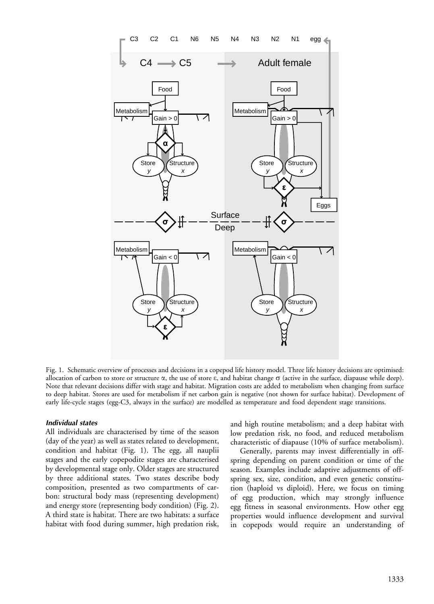

Fig. 1. Schematic overview of processes and decisions in a copepod life history model. Three life history decisions are optimised: allocation of carbon to store or structure  $\alpha$ , the use of store  $\varepsilon$ , and habitat change  $\sigma$  (active in the surface, diapause while deep). Note that relevant decisions differ with stage and habitat. Migration costs are added to metabolism when changing from surface to deep habitat. Stores are used for metabolism if net carbon gain is negative (not shown for surface habitat). Development of early life-cycle stages (egg-C3, always in the surface) are modelled as temperature and food dependent stage transitions.

#### Individual states

All individuals are characterised by time of the season (day of the year) as well as states related to development, condition and habitat (Fig. 1). The egg, all nauplii stages and the early copepodite stages are characterised by developmental stage only. Older stages are structured by three additional states. Two states describe body composition, presented as two compartments of carbon: structural body mass (representing development) and energy store (representing body condition) (Fig. 2). A third state is habitat. There are two habitats: a surface habitat with food during summer, high predation risk, and high routine metabolism; and a deep habitat with low predation risk, no food, and reduced metabolism characteristic of diapause (10% of surface metabolism).

Generally, parents may invest differentially in offspring depending on parent condition or time of the season. Examples include adaptive adjustments of offspring sex, size, condition, and even genetic constitution (haploid vs diploid). Here, we focus on timing of egg production, which may strongly influence egg fitness in seasonal environments. How other egg properties would influence development and survival in copepods would require an understanding of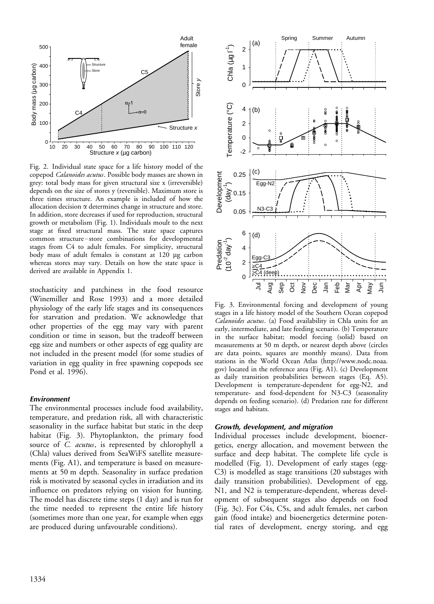

Fig. 2. Individual state space for a life history model of the copepod Calanoides acutus. Possible body masses are shown in grey: total body mass for given structural size x (irreversible) depends on the size of stores y (reversible). Maximum store is three times structure. An example is included of how the allocation decision  $\alpha$  determines change in structure and store. In addition, store decreases if used for reproduction, structural growth or metabolism (Fig. 1). Individuals moult to the next stage at fixed structural mass. The state space captures common structure-store combinations for developmental stages from C4 to adult females. For simplicity, structural body mass of adult females is constant at 120 µg carbon whereas stores may vary. Details on how the state space is derived are available in Appendix 1.

stochasticity and patchiness in the food resource (Winemiller and Rose 1993) and a more detailed physiology of the early life stages and its consequences for starvation and predation. We acknowledge that other properties of the egg may vary with parent condition or time in season, but the tradeoff between egg size and numbers or other aspects of egg quality are not included in the present model (for some studies of variation in egg quality in free spawning copepods see Pond et al. 1996).

#### Environment

The environmental processes include food availability, temperature, and predation risk, all with characteristic seasonality in the surface habitat but static in the deep habitat (Fig. 3). Phytoplankton, the primary food source of *C. acutus*, is represented by chlorophyll a (Chla) values derived from SeaWiFS satellite measurements (Fig. A1), and temperature is based on measurements at 50 m depth. Seasonality in surface predation risk is motivated by seasonal cycles in irradiation and its influence on predators relying on vision for hunting. The model has discrete time steps (1 day) and is run for the time needed to represent the entire life history (sometimes more than one year, for example when eggs are produced during unfavourable conditions).



Fig. 3. Environmental forcing and development of young stages in a life history model of the Southern Ocean copepod Calanoides acutus. (a) Food availability in Chla units for an early, intermediate, and late feeding scenario. (b) Temperature in the surface habitat; model forcing (solid) based on measurements at 50 m depth, or nearest depth above (circles are data points, squares are monthly means). Data from stations in the World Ocean Atlas (http://www.nodc.noaa. gov) located in the reference area (Fig. A1). (c) Development as daily transition probabilities between stages (Eq. A5). Development is temperature-dependent for egg-N2, and temperature- and food-dependent for N3-C3 (seasonality depends on feeding scenario). (d) Predation rate for different stages and habitats.

#### Growth, development, and migration

Individual processes include development, bioenergetics, energy allocation, and movement between the surface and deep habitat. The complete life cycle is modelled (Fig. 1). Development of early stages (egg-C3) is modelled as stage transitions (20 substages with daily transition probabilities). Development of egg, N1, and N2 is temperature-dependent, whereas development of subsequent stages also depends on food (Fig. 3c). For C4s, C5s, and adult females, net carbon gain (food intake) and bioenergetics determine potential rates of development, energy storing, and egg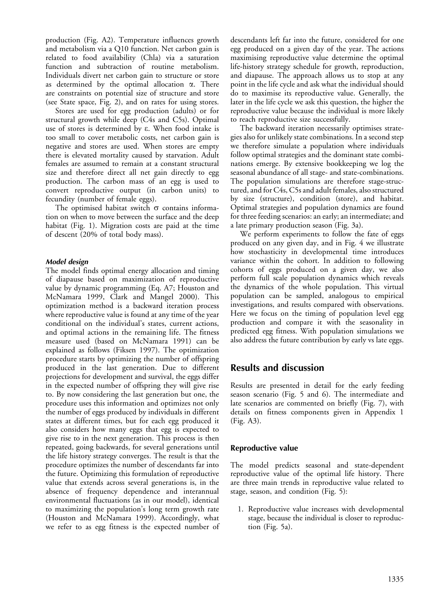production (Fig. A2). Temperature influences growth and metabolism via a Q10 function. Net carbon gain is related to food availability (Chla) via a saturation function and subtraction of routine metabolism. Individuals divert net carbon gain to structure or store as determined by the optimal allocation  $\alpha$ . There are constraints on potential size of structure and store (see State space, Fig. 2), and on rates for using stores.

Stores are used for egg production (adults) or for structural growth while deep (C4s and C5s). Optimal use of stores is determined by  $\varepsilon$ . When food intake is too small to cover metabolic costs, net carbon gain is negative and stores are used. When stores are empty there is elevated mortality caused by starvation. Adult females are assumed to remain at a constant structural size and therefore direct all net gain directly to egg production. The carbon mass of an egg is used to convert reproductive output (in carbon units) to fecundity (number of female eggs).

The optimised habitat switch  $\sigma$  contains information on when to move between the surface and the deep habitat (Fig. 1). Migration costs are paid at the time of descent (20% of total body mass).

#### Model design

The model finds optimal energy allocation and timing of diapause based on maximization of reproductive value by dynamic programming (Eq. A7; Houston and McNamara 1999, Clark and Mangel 2000). This optimization method is a backward iteration process where reproductive value is found at any time of the year conditional on the individual's states, current actions, and optimal actions in the remaining life. The fitness measure used (based on McNamara 1991) can be explained as follows (Fiksen 1997). The optimization procedure starts by optimizing the number of offspring produced in the last generation. Due to different projections for development and survival, the eggs differ in the expected number of offspring they will give rise to. By now considering the last generation but one, the procedure uses this information and optimizes not only the number of eggs produced by individuals in different states at different times, but for each egg produced it also considers how many eggs that egg is expected to give rise to in the next generation. This process is then repeated, going backwards, for several generations until the life history strategy converges. The result is that the procedure optimizes the number of descendants far into the future. Optimizing this formulation of reproductive value that extends across several generations is, in the absence of frequency dependence and interannual environmental fluctuations (as in our model), identical to maximizing the population's long term growth rate (Houston and McNamara 1999). Accordingly, what we refer to as egg fitness is the expected number of

descendants left far into the future, considered for one egg produced on a given day of the year. The actions maximising reproductive value determine the optimal life-history strategy schedule for growth, reproduction, and diapause. The approach allows us to stop at any point in the life cycle and ask what the individual should do to maximise its reproductive value. Generally, the later in the life cycle we ask this question, the higher the reproductive value because the individual is more likely to reach reproductive size successfully.

The backward iteration necessarily optimises strategies also for unlikely state combinations. In a second step we therefore simulate a population where individuals follow optimal strategies and the dominant state combinations emerge. By extensive bookkeeping we log the seasonal abundance of all stage- and state-combinations. The population simulations are therefore stage-structured, and for C4s, C5s and adult females, also structured by size (structure), condition (store), and habitat. Optimal strategies and population dynamics are found for three feeding scenarios: an early; an intermediate; and a late primary production season (Fig. 3a).

We perform experiments to follow the fate of eggs produced on any given day, and in Fig. 4 we illustrate how stochasticity in developmental time introduces variance within the cohort. In addition to following cohorts of eggs produced on a given day, we also perform full scale population dynamics which reveals the dynamics of the whole population. This virtual population can be sampled, analogous to empirical investigations, and results compared with observations. Here we focus on the timing of population level egg production and compare it with the seasonality in predicted egg fitness. With population simulations we also address the future contribution by early vs late eggs.

# Results and discussion

Results are presented in detail for the early feeding season scenario (Fig. 5 and 6). The intermediate and late scenarios are commented on briefly (Fig. 7), with details on fitness components given in Appendix 1 (Fig. A3).

#### Reproductive value

The model predicts seasonal and state-dependent reproductive value of the optimal life history. There are three main trends in reproductive value related to stage, season, and condition (Fig. 5):

1. Reproductive value increases with developmental stage, because the individual is closer to reproduction (Fig. 5a).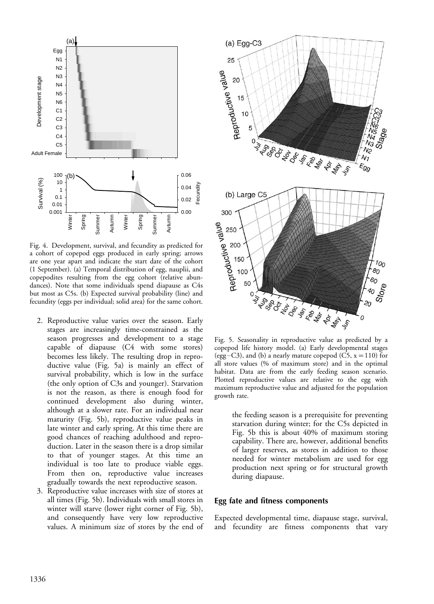

Fig. 4. Development, survival, and fecundity as predicted for a cohort of copepod eggs produced in early spring; arrows are one year apart and indicate the start date of the cohort (1 September). (a) Temporal distribution of egg, nauplii, and copepodites resulting from the egg cohort (relative abundances). Note that some individuals spend diapause as C4s but most as C5s. (b) Expected survival probability (line) and fecundity (eggs per individual; solid area) for the same cohort.

- 2. Reproductive value varies over the season. Early stages are increasingly time-constrained as the season progresses and development to a stage capable of diapause (C4 with some stores) becomes less likely. The resulting drop in reproductive value (Fig. 5a) is mainly an effect of survival probability, which is low in the surface (the only option of C3s and younger). Starvation is not the reason, as there is enough food for continued development also during winter, although at a slower rate. For an individual near maturity (Fig. 5b), reproductive value peaks in late winter and early spring. At this time there are good chances of reaching adulthood and reproduction. Later in the season there is a drop similar to that of younger stages. At this time an individual is too late to produce viable eggs. From then on, reproductive value increases gradually towards the next reproductive season.
- 3. Reproductive value increases with size of stores at all times (Fig. 5b). Individuals with small stores in winter will starve (lower right corner of Fig. 5b), and consequently have very low reproductive values. A minimum size of stores by the end of



Fig. 5. Seasonality in reproductive value as predicted by a copepod life history model. (a) Early developmental stages (egg–C3), and (b) a nearly mature copepod (C5,  $x = 110$ ) for all store values (% of maximum store) and in the optimal habitat. Data are from the early feeding season scenario. Plotted reproductive values are relative to the egg with maximum reproductive value and adjusted for the population growth rate.

the feeding season is a prerequisite for preventing starvation during winter; for the C5s depicted in Fig. 5b this is about 40% of maximum storing capability. There are, however, additional benefits of larger reserves, as stores in addition to those needed for winter metabolism are used for egg production next spring or for structural growth during diapause.

#### Egg fate and fitness components

Expected developmental time, diapause stage, survival, and fecundity are fitness components that vary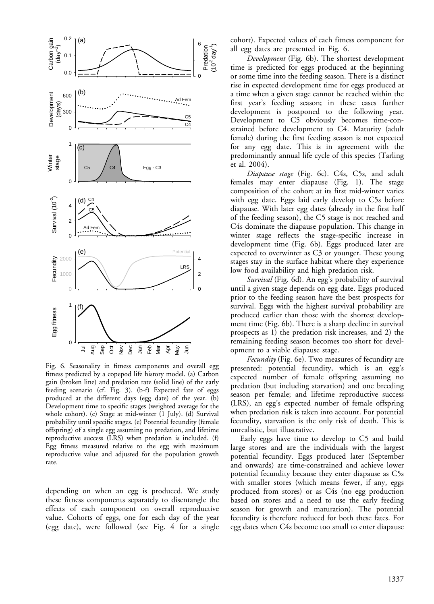

Fig. 6. Seasonality in fitness components and overall egg fitness predicted by a copepod life history model. (a) Carbon gain (broken line) and predation rate (solid line) of the early feeding scenario (cf. Fig. 3). (b-f) Expected fate of eggs produced at the different days (egg date) of the year. (b) Development time to specific stages (weighted average for the whole cohort). (c) Stage at mid-winter (1 July). (d) Survival probability until specific stages. (e) Potential fecundity (female offspring) of a single egg assuming no predation, and lifetime reproductive success (LRS) when predation is included. (f) Egg fitness measured relative to the egg with maximum reproductive value and adjusted for the population growth rate.

depending on when an egg is produced. We study these fitness components separately to disentangle the effects of each component on overall reproductive value. Cohorts of eggs, one for each day of the year (egg date), were followed (see Fig. 4 for a single cohort). Expected values of each fitness component for all egg dates are presented in Fig. 6.

Development (Fig. 6b). The shortest development time is predicted for eggs produced at the beginning or some time into the feeding season. There is a distinct rise in expected development time for eggs produced at a time when a given stage cannot be reached within the first year's feeding season; in these cases further development is postponed to the following year. Development to C5 obviously becomes time-constrained before development to C4. Maturity (adult female) during the first feeding season is not expected for any egg date. This is in agreement with the predominantly annual life cycle of this species (Tarling et al. 2004).

Diapause stage (Fig. 6c). C4s, C5s, and adult females may enter diapause (Fig. 1). The stage composition of the cohort at its first mid-winter varies with egg date. Eggs laid early develop to C5s before diapause. With later egg dates (already in the first half of the feeding season), the C5 stage is not reached and C4s dominate the diapause population. This change in winter stage reflects the stage-specific increase in development time (Fig. 6b). Eggs produced later are expected to overwinter as C3 or younger. These young stages stay in the surface habitat where they experience low food availability and high predation risk.

Survival (Fig. 6d). An egg's probability of survival until a given stage depends on egg date. Eggs produced prior to the feeding season have the best prospects for survival. Eggs with the highest survival probability are produced earlier than those with the shortest development time (Fig. 6b). There is a sharp decline in survival prospects as 1) the predation risk increases, and 2) the remaining feeding season becomes too short for development to a viable diapause stage.

*Fecundity* (Fig. 6e). Two measures of fecundity are presented: potential fecundity, which is an egg's expected number of female offspring assuming no predation (but including starvation) and one breeding season per female; and lifetime reproductive success (LRS), an egg's expected number of female offspring when predation risk is taken into account. For potential fecundity, starvation is the only risk of death. This is unrealistic, but illustrative.

Early eggs have time to develop to C5 and build large stores and are the individuals with the largest potential fecundity. Eggs produced later (September and onwards) are time-constrained and achieve lower potential fecundity because they enter diapause as C5s with smaller stores (which means fewer, if any, eggs produced from stores) or as C4s (no egg production based on stores and a need to use the early feeding season for growth and maturation). The potential fecundity is therefore reduced for both these fates. For egg dates when C4s become too small to enter diapause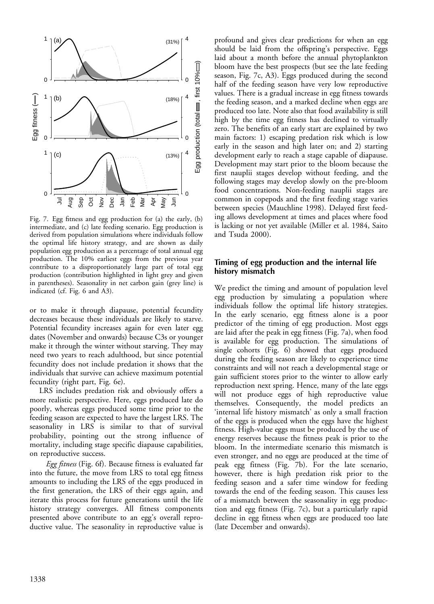

Fig. 7. Egg fitness and egg production for (a) the early, (b) intermediate, and (c) late feeding scenario. Egg production is derived from population simulations where individuals follow the optimal life history strategy, and are shown as daily population egg production as a percentage of total annual egg production. The 10% earliest eggs from the previous year contribute to a disproportionately large part of total egg production (contribution highlighted in light grey and given in parentheses). Seasonality in net carbon gain (grey line) is indicated (cf. Fig. 6 and A3).

or to make it through diapause, potential fecundity decreases because these individuals are likely to starve. Potential fecundity increases again for even later egg dates (November and onwards) because C3s or younger make it through the winter without starving. They may need two years to reach adulthood, but since potential fecundity does not include predation it shows that the individuals that survive can achieve maximum potential fecundity (right part, Fig. 6e).

LRS includes predation risk and obviously offers a more realistic perspective. Here, eggs produced late do poorly, whereas eggs produced some time prior to the feeding season are expected to have the largest LRS. The seasonality in LRS is similar to that of survival probability, pointing out the strong influence of mortality, including stage specific diapause capabilities, on reproductive success.

Egg fitness (Fig. 6f). Because fitness is evaluated far into the future, the move from LRS to total egg fitness amounts to including the LRS of the eggs produced in the first generation, the LRS of their eggs again, and iterate this process for future generations until the life history strategy converges. All fitness components presented above contribute to an egg's overall reproductive value. The seasonality in reproductive value is

profound and gives clear predictions for when an egg should be laid from the offspring's perspective. Eggs laid about a month before the annual phytoplankton bloom have the best prospects (but see the late feeding season, Fig. 7c, A3). Eggs produced during the second half of the feeding season have very low reproductive values. There is a gradual increase in egg fitness towards the feeding season, and a marked decline when eggs are produced too late. Note also that food availability is still high by the time egg fitness has declined to virtually zero. The benefits of an early start are explained by two main factors: 1) escaping predation risk which is low early in the season and high later on; and 2) starting development early to reach a stage capable of diapause. Development may start prior to the bloom because the first nauplii stages develop without feeding, and the following stages may develop slowly on the pre-bloom food concentrations. Non-feeding nauplii stages are common in copepods and the first feeding stage varies between species (Mauchline 1998). Delayed first feeding allows development at times and places where food is lacking or not yet available (Miller et al. 1984, Saito and Tsuda 2000).

#### Timing of egg production and the internal life history mismatch

We predict the timing and amount of population level egg production by simulating a population where individuals follow the optimal life history strategies. In the early scenario, egg fitness alone is a poor predictor of the timing of egg production. Most eggs are laid after the peak in egg fitness (Fig. 7a), when food is available for egg production. The simulations of single cohorts (Fig. 6) showed that eggs produced during the feeding season are likely to experience time constraints and will not reach a developmental stage or gain sufficient stores prior to the winter to allow early reproduction next spring. Hence, many of the late eggs will not produce eggs of high reproductive value themselves. Consequently, the model predicts an 'internal life history mismatch' as only a small fraction of the eggs is produced when the eggs have the highest fitness. High-value eggs must be produced by the use of energy reserves because the fitness peak is prior to the bloom. In the intermediate scenario this mismatch is even stronger, and no eggs are produced at the time of peak egg fitness (Fig. 7b). For the late scenario, however, there is high predation risk prior to the feeding season and a safer time window for feeding towards the end of the feeding season. This causes less of a mismatch between the seasonality in egg production and egg fitness (Fig. 7c), but a particularly rapid decline in egg fitness when eggs are produced too late (late December and onwards).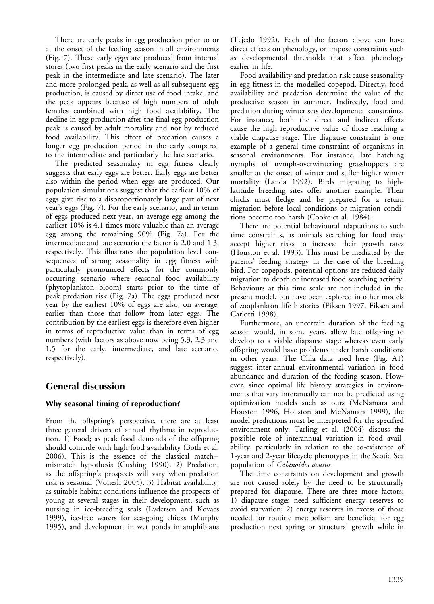There are early peaks in egg production prior to or at the onset of the feeding season in all environments (Fig. 7). These early eggs are produced from internal stores (two first peaks in the early scenario and the first peak in the intermediate and late scenario). The later and more prolonged peak, as well as all subsequent egg production, is caused by direct use of food intake, and the peak appears because of high numbers of adult females combined with high food availability. The decline in egg production after the final egg production peak is caused by adult mortality and not by reduced food availability. This effect of predation causes a longer egg production period in the early compared to the intermediate and particularly the late scenario.

The predicted seasonality in egg fitness clearly suggests that early eggs are better. Early eggs are better also within the period when eggs are produced. Our population simulations suggest that the earliest 10% of eggs give rise to a disproportionately large part of next year's eggs (Fig. 7). For the early scenario, and in terms of eggs produced next year, an average egg among the earliest 10% is 4.1 times more valuable than an average egg among the remaining 90% (Fig. 7a). For the intermediate and late scenario the factor is 2.0 and 1.3, respectively. This illustrates the population level consequences of strong seasonality in egg fitness with particularly pronounced effects for the commonly occurring scenario where seasonal food availability (phytoplankton bloom) starts prior to the time of peak predation risk (Fig. 7a). The eggs produced next year by the earliest 10% of eggs are also, on average, earlier than those that follow from later eggs. The contribution by the earliest eggs is therefore even higher in terms of reproductive value than in terms of egg numbers (with factors as above now being 5.3, 2.3 and 1.5 for the early, intermediate, and late scenario, respectively).

# General discussion

#### Why seasonal timing of reproduction?

From the offspring's perspective, there are at least three general drivers of annual rhythms in reproduction. 1) Food; as peak food demands of the offspring should coincide with high food availability (Both et al. 2006). This is the essence of the classical match mismatch hypothesis (Cushing 1990). 2) Predation; as the offspring's prospects will vary when predation risk is seasonal (Vonesh 2005). 3) Habitat availability; as suitable habitat conditions influence the prospects of young at several stages in their development, such as nursing in ice-breeding seals (Lydersen and Kovacs 1999), ice-free waters for sea-going chicks (Murphy 1995), and development in wet ponds in amphibians

(Tejedo 1992). Each of the factors above can have direct effects on phenology, or impose constraints such as developmental thresholds that affect phenology earlier in life.

Food availability and predation risk cause seasonality in egg fitness in the modelled copepod. Directly, food availability and predation determine the value of the productive season in summer. Indirectly, food and predation during winter sets developmental constraints. For instance, both the direct and indirect effects cause the high reproductive value of those reaching a viable diapause stage. The diapause constraint is one example of a general time-constraint of organisms in seasonal environments. For instance, late hatching nymphs of nymph-overwintering grasshoppers are smaller at the onset of winter and suffer higher winter mortality (Landa 1992). Birds migrating to highlatitude breeding sites offer another example. Their chicks must fledge and be prepared for a return migration before local conditions or migration conditions become too harsh (Cooke et al. 1984).

There are potential behavioural adaptations to such time constraints, as animals searching for food may accept higher risks to increase their growth rates (Houston et al. 1993). This must be mediated by the parents' feeding strategy in the case of the breeding bird. For copepods, potential options are reduced daily migration to depth or increased food searching activity. Behaviours at this time scale are not included in the present model, but have been explored in other models of zooplankton life histories (Fiksen 1997, Fiksen and Carlotti 1998).

Furthermore, an uncertain duration of the feeding season would, in some years, allow late offspring to develop to a viable diapause stage whereas even early offspring would have problems under harsh conditions in other years. The Chla data used here (Fig. A1) suggest inter-annual environmental variation in food abundance and duration of the feeding season. However, since optimal life history strategies in environments that vary interanually can not be predicted using optimization models such as ours (McNamara and Houston 1996, Houston and McNamara 1999), the model predictions must be interpreted for the specified environment only. Tarling et al. (2004) discuss the possible role of interannual variation in food availability, particularly in relation to the co-existence of 1-year and 2-year lifecycle phenotypes in the Scotia Sea population of Calanoides acutus.

The time constraints on development and growth are not caused solely by the need to be structurally prepared for diapause. There are three more factors: 1) diapause stages need sufficient energy reserves to avoid starvation; 2) energy reserves in excess of those needed for routine metabolism are beneficial for egg production next spring or structural growth while in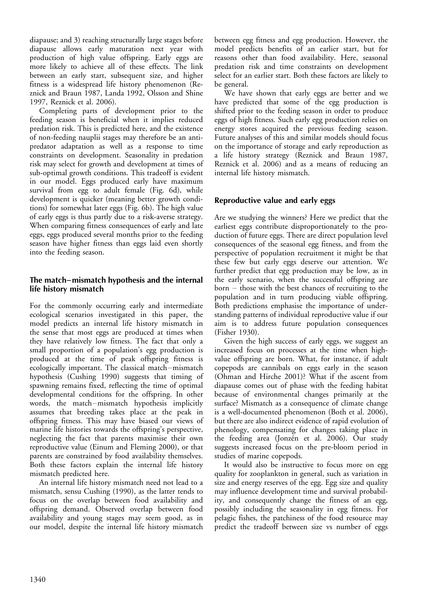diapause; and 3) reaching structurally large stages before diapause allows early maturation next year with production of high value offspring. Early eggs are more likely to achieve all of these effects. The link between an early start, subsequent size, and higher fitness is a widespread life history phenomenon (Reznick and Braun 1987, Landa 1992, Olsson and Shine 1997, Reznick et al. 2006).

Completing parts of development prior to the feeding season is beneficial when it implies reduced predation risk. This is predicted here, and the existence of non-feeding nauplii stages may therefore be an antipredator adaptation as well as a response to time constraints on development. Seasonality in predation risk may select for growth and development at times of sub-optimal growth conditions. This tradeoff is evident in our model. Eggs produced early have maximum survival from egg to adult female (Fig. 6d), while development is quicker (meaning better growth conditions) for somewhat later eggs (Fig. 6b). The high value of early eggs is thus partly due to a risk-averse strategy. When comparing fitness consequences of early and late eggs, eggs produced several months prior to the feeding season have higher fitness than eggs laid even shortly into the feeding season.

### The match-mismatch hypothesis and the internal life history mismatch

For the commonly occurring early and intermediate ecological scenarios investigated in this paper, the model predicts an internal life history mismatch in the sense that most eggs are produced at times when they have relatively low fitness. The fact that only a small proportion of a population's egg production is produced at the time of peak offspring fitness is ecologically important. The classical match-mismatch hypothesis (Cushing 1990) suggests that timing of spawning remains fixed, reflecting the time of optimal developmental conditions for the offspring. In other words, the match-mismatch hypothesis implicitly assumes that breeding takes place at the peak in offspring fitness. This may have biased our views of marine life histories towards the offspring's perspective, neglecting the fact that parents maximise their own reproductive value (Einum and Fleming 2000), or that parents are constrained by food availability themselves. Both these factors explain the internal life history mismatch predicted here.

An internal life history mismatch need not lead to a mismatch, sensu Cushing (1990), as the latter tends to focus on the overlap between food availability and offspring demand. Observed overlap between food availability and young stages may seem good, as in our model, despite the internal life history mismatch between egg fitness and egg production. However, the model predicts benefits of an earlier start, but for reasons other than food availability. Here, seasonal predation risk and time constraints on development select for an earlier start. Both these factors are likely to be general.

We have shown that early eggs are better and we have predicted that some of the egg production is shifted prior to the feeding season in order to produce eggs of high fitness. Such early egg production relies on energy stores acquired the previous feeding season. Future analyses of this and similar models should focus on the importance of storage and early reproduction as a life history strategy (Reznick and Braun 1987, Reznick et al. 2006) and as a means of reducing an internal life history mismatch.

### Reproductive value and early eggs

Are we studying the winners? Here we predict that the earliest eggs contribute disproportionately to the production of future eggs. There are direct population level consequences of the seasonal egg fitness, and from the perspective of population recruitment it might be that these few but early eggs deserve our attention. We further predict that egg production may be low, as in the early scenario, when the successful offspring are  $born - those with the best chances of recruiting to the$ population and in turn producing viable offspring. Both predictions emphasise the importance of understanding patterns of individual reproductive value if our aim is to address future population consequences (Fisher 1930).

Given the high success of early eggs, we suggest an increased focus on processes at the time when highvalue offspring are born. What, for instance, if adult copepods are cannibals on eggs early in the season (Ohman and Hirche 2001)? What if the ascent from diapause comes out of phase with the feeding habitat because of environmental changes primarily at the surface? Mismatch as a consequence of climate change is a well-documented phenomenon (Both et al. 2006), but there are also indirect evidence of rapid evolution of phenology, compensating for changes taking place in the feeding area (Jonzén et al. 2006). Our study suggests increased focus on the pre-bloom period in studies of marine copepods.

It would also be instructive to focus more on egg quality for zooplankton in general, such as variation in size and energy reserves of the egg. Egg size and quality may influence development time and survival probability, and consequently change the fitness of an egg, possibly including the seasonality in egg fitness. For pelagic fishes, the patchiness of the food resource may predict the tradeoff between size vs number of eggs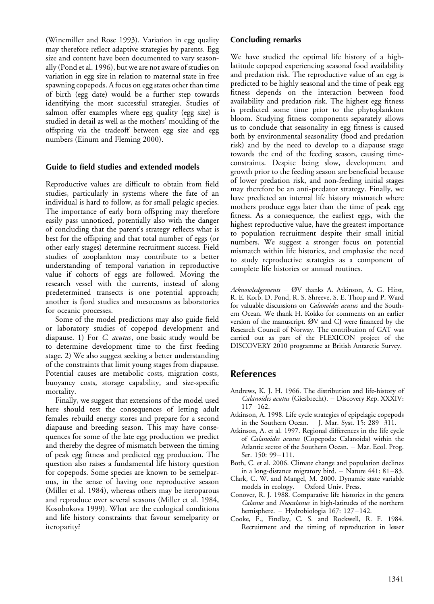(Winemiller and Rose 1993). Variation in egg quality may therefore reflect adaptive strategies by parents. Egg size and content have been documented to vary seasonally (Pond et al. 1996), but we are not aware of studies on variation in egg size in relation to maternal state in free spawning copepods. A focus on egg states other than time of birth (egg date) would be a further step towards identifying the most successful strategies. Studies of salmon offer examples where egg quality (egg size) is studied in detail as well as the mothers' moulding of the offspring via the tradeoff between egg size and egg numbers (Einum and Fleming 2000).

#### Guide to field studies and extended models

Reproductive values are difficult to obtain from field studies, particularly in systems where the fate of an individual is hard to follow, as for small pelagic species. The importance of early born offspring may therefore easily pass unnoticed, potentially also with the danger of concluding that the parent's strategy reflects what is best for the offspring and that total number of eggs (or other early stages) determine recruitment success. Field studies of zooplankton may contribute to a better understanding of temporal variation in reproductive value if cohorts of eggs are followed. Moving the research vessel with the currents, instead of along predetermined transects is one potential approach; another is fjord studies and mesocosms as laboratories for oceanic processes.

Some of the model predictions may also guide field or laboratory studies of copepod development and diapause. 1) For C. acutus, one basic study would be to determine development time to the first feeding stage. 2) We also suggest seeking a better understanding of the constraints that limit young stages from diapause. Potential causes are metabolic costs, migration costs, buoyancy costs, storage capability, and size-specific mortality.

Finally, we suggest that extensions of the model used here should test the consequences of letting adult females rebuild energy stores and prepare for a second diapause and breeding season. This may have consequences for some of the late egg production we predict and thereby the degree of mismatch between the timing of peak egg fitness and predicted egg production. The question also raises a fundamental life history question for copepods. Some species are known to be semelparous, in the sense of having one reproductive season (Miller et al. 1984), whereas others may be iteroparous and reproduce over several seasons (Miller et al. 1984, Kosobokova 1999). What are the ecological conditions and life history constraints that favour semelparity or iteroparity?

#### Concluding remarks

We have studied the optimal life history of a highlatitude copepod experiencing seasonal food availability and predation risk. The reproductive value of an egg is predicted to be highly seasonal and the time of peak egg fitness depends on the interaction between food availability and predation risk. The highest egg fitness is predicted some time prior to the phytoplankton bloom. Studying fitness components separately allows us to conclude that seasonality in egg fitness is caused both by environmental seasonality (food and predation risk) and by the need to develop to a diapause stage towards the end of the feeding season, causing timeconstraints. Despite being slow, development and growth prior to the feeding season are beneficial because of lower predation risk, and non-feeding initial stages may therefore be an anti-predator strategy. Finally, we have predicted an internal life history mismatch where mothers produce eggs later than the time of peak egg fitness. As a consequence, the earliest eggs, with the highest reproductive value, have the greatest importance to population recruitment despite their small initial numbers. We suggest a stronger focus on potential mismatch within life histories, and emphasise the need to study reproductive strategies as a component of complete life histories or annual routines.

 $Acknowledgements - QV$  thanks A. Atkinson, A. G. Hirst, R. E. Korb, D. Pond, R. S. Shreeve, S. E. Thorp and P. Ward for valuable discussions on Calanoides acutus and the Southern Ocean. We thank H. Kokko for comments on an earlier version of the manuscript. ØV and CJ were financed by the Research Council of Norway. The contribution of GAT was carried out as part of the FLEXICON project of the DISCOVERY 2010 programme at British Antarctic Survey.

# References

- Andrews, K. J. H. 1966. The distribution and life-history of Calanoides acutus (Giesbrecht). - Discovery Rep. XXXIV:  $117 - 162.$
- Atkinson, A. 1998. Life cycle strategies of epipelagic copepods in the Southern Ocean.  $-$  J. Mar. Syst. 15: 289 $-311$ .
- Atkinson, A. et al. 1997. Regional differences in the life cycle of Calanoides acutus (Copepoda: Calanoida) within the Atlantic sector of the Southern Ocean. - Mar. Ecol. Prog. Ser. 150: 99-111.
- Both, C. et al. 2006. Climate change and population declines in a long-distance migratory bird.  $-$  Nature 441: 81-83.
- Clark, C. W. and Mangel, M. 2000. Dynamic state variable models in ecology. - Oxford Univ. Press.
- Conover, R. J. 1988. Comparative life histories in the genera Calanus and Neocalanus in high-latitudes of the northern hemisphere. - Hydrobiologia 167: 127-142.
- Cooke, F., Findlay, C. S. and Rockwell, R. F. 1984. Recruitment and the timing of reproduction in lesser